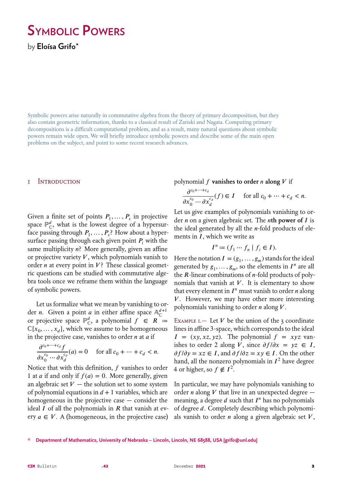# **Symbolic Powers**

by **Eloísa Grifo**\*

Symbolic powers arise naturally in commutative algebra from the theory of primary decomposition, but they also contain geometric information, thanks to a classical result of Zariski and Nagata. Computing primary decompositions is a difficult computational problem, and as a result, many natural questions about symbolic powers remain wide open. We will briefly introduce symbolic powers and describe some of the main open problems on the subject, and point to some recent research advances.

## 1 Introduction

Given a finite set of points  $P_1, \ldots, P_s$  in projective space  $\mathbb{P}^d_{\mathbb{C}}$ , what is the lowest degree of a hypersurface passing through  $P_1, \ldots, P_s$ ? How about a hypersurface passing through each given point  $P_i$  with the same multiplicity  $n$ ? More generally, given an affine or projective variety  $V$ , which polynomials vanish to order  $n$  at every point in  $V$ ? These classical geometric questions can be studied with commutative algebra tools once we reframe them within the language of symbolic powers.

Let us formalize what we mean by vanishing to order *n*. Given a point *a* in either affine space  $A_C^{d+}$ or projective space  $\mathbb{P}^d_{\mathbb{C}}$ , a polynomial  $f \in R$  =  $\mathbb{C}[x_0,\ldots,x_d]$ , which we assume to be homogeneous in the projective case, vanishes to order  $n$  at  $a$  if

$$
\frac{\partial^{c_0+\dots+c_d} f}{\partial x_0^{c_0}\cdots \partial x_d^{c_d}}(a) = 0 \quad \text{ for all } c_0 + \dots + c_d < n.
$$

Notice that with this definition,  $f$  vanishes to order 1 at *a* if and only if  $f(a) = 0$ . More generally, given an algebraic set  $V$  — the solution set to some system of polynomial equations in  $d + 1$  variables, which are homogeneous in the projective case — consider the ideal  $I$  of all the polynomials in  $R$  that vanish at every  $a \in V$ . A (homogeneous, in the projective case) polynomial  $f$  **vanishes to order**  $n$  **along**  $V$  if

$$
\frac{\partial^{c_0+\dots+c_d}}{\partial x_0^{c_0}\cdots\partial x_d^{c_d}}(f)\in I\quad\text{ for all }c_0+\dots+c_d
$$

Let us give examples of polynomials vanishing to order  $n$  on a given algebraic set. The  $n$ th power of  $I$  is the ideal generated by all the  $n$ -fold products of elements in  $I$ , which we write as

$$
I^n := (f_1 \cdots f_n \mid f_i \in I).
$$

Here the notation  $I = (g_1, \ldots, g_m)$  stands for the ideal generated by  $g_1, \ldots, g_m$ , so the elements in  $I^n$  are all the  $R$ -linear combinations of  $n$ -fold products of polynomials that vanish at  $V$ . It is elementary to show that every element in  $I<sup>n</sup>$  must vanish to order *n* along . However, we may have other more interesting polynomials vanishing to order *n* along  $V$ .

EXAMPLE I. - Let V be the union of the 3 coordinate lines in affine 3-space, which corresponds to the ideal  $I = (xy, xz, yz)$ . The polynomial  $f = xyz$  vanishes to order 2 along V, since  $\partial f/\partial x = yz \in I$ ,  $\partial f/\partial y = xz \in I$ , and  $\partial f/\partial z = xy \in I$ . On the other hand, all the nonzero polynomials in  $I^2$  have degree 4 or higher, so  $f \notin I^2$ .

In particular, we may have polynomials vanishing to order *n* along *V* that live in an unexpected degree  $$ meaning, a degree  $d$  such that  $I<sup>n</sup>$  has no polynomials of degree  $d$ . Completely describing which polynomials vanish to order  $n$  along a given algebraic set  $V$ ,

**\* Department of Mathematics, University of Nebraska – Lincoln, Lincoln, NE 68588, USA [grifo@unl.edu]**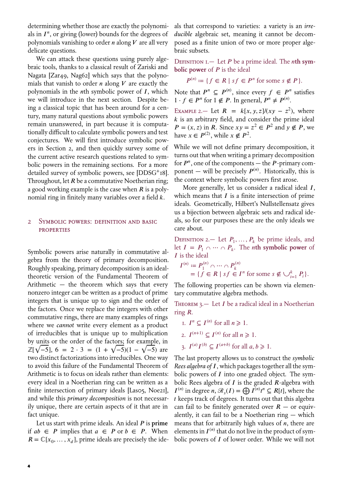determining whether those are exactly the polynomials in  $I<sup>n</sup>$ , or giving (lower) bounds for the degrees of polynomials vanishing to order  $n$  along  $V$  are all very delicate questions.

We can attack these questions using purely algebraic tools, thanks to a classical result of Zariski and Nagata [Zar49, Nag62] which says that the polynomials that vanish to order  $n$  along  $V$  are exactly the polynomials in the *n*th symbolic power of  $I$ , which we will introduce in the next section. Despite being a classical topic that has been around for a century, many natural questions about symbolic powers remain unanswered, in part because it is computationally difficult to calculate symbolic powers and test conjectures. We will first introduce symbolic powers in Section 2, and then quickly survey some of the current active research questions related to symbolic powers in the remaining sections. For a more detailed survey of symbolic powers, see [DDSG+18]. Throughout, let  $R$  be a commutative Noetherian ring; a good working example is the case when  $R$  is a polynomial ring in finitely many variables over a field  $k$ .

## 2 Symbolic powers: definition and basic **PROPERTIES**

Symbolic powers arise naturally in commutative algebra from the theory of primary decomposition. Roughly speaking, primary decomposition is an idealtheoretic version of the Fundamental Theorem of Arithmetic — the theorem which says that every nonzero integer can be written as a product of prime integers that is unique up to sign and the order of the factors. Once we replace the integers with other commutative rings, there are many examples of rings where we *cannot* write every element as a product of irreducibles that is unique up to multiplication by units or the order of the factors; for example, in  $\mathbb{Z}[\sqrt{-5}]$ , 6 = 2 ⋅ 3 = (1 +  $\sqrt{-5}$ )(1 –  $\sqrt{-5}$ ) are two distinct factorizations into irreducibles. One way to avoid this failure of the Fundamental Theorem of Arithmetic is to focus on ideals rather than elements: every ideal in a Noetherian ring can be written as a finite intersection of primary ideals [Laso5, Noe21], and while this *primary decomposition* is not necessarily unique, there are certain aspects of it that are in fact unique.

Let us start with prime ideals. An ideal  $P$  is prime if  $ab \in P$  implies that  $a \in P$  or  $b \in P$ . When  $R = \mathbb{C}[x_0, \ldots, x_d]$ , prime ideals are precisely the ideals that correspond to varieties: a variety is an *irreducible* algebraic set, meaning it cannot be decomposed as a finite union of two or more proper algebraic subsets.

DEFINITION I.  $-$  Let  $P$  be a prime ideal. The *n*th sym**bolic power** of  $P$  is the ideal

$$
P^{(n)} \coloneqq \{ f \in R \mid sf \in P^n \text{ for some } s \notin P \}.
$$

Note that  $P^n \subseteq P^{(n)}$ , since every  $f \in P^n$  satisfies  $1 \cdot f \in P^n$  for  $1 \notin P$ . In general,  $P^n \neq P^{(n)}$ .

EXAMPLE 2. - Let  $R = k[x, y, z]/(xy - z^2)$ , where  $k$  is an arbitrary field, and consider the prime ideal  $P = (x, z)$  in R. Since  $xy = z^2 \in P^2$  and  $y \notin P$ , we have  $x \in P^{(2)}$ , while  $x \notin P^2$ .

While we will not define primary decomposition, it turns out that when writing a primary decomposition for  $P<sup>n</sup>$ , one of the components — the  $P$ -primary component — will be precisely  $P^{(n)}$ . Historically, this is the context where symbolic powers first arose.

More generally, let us consider a radical ideal  $I$ , which means that  $I$  is a finite intersection of prime ideals. Geometrically, Hilbert's Nullstellensatz gives us a bijection between algebraic sets and radical ideals, so for our purposes these are the only ideals we care about.

DEFINITION 2.— Let  $P_1, \ldots, P_k$  be prime ideals, and let  $I = P_1 \cap \cdots \cap P_k$ . The *n*th symbolic power of  $I$  is the ideal

$$
I^{(n)} := P_1^{(n)} \cap \cdots \cap P_k^{(n)}
$$
  
= {f \in R | sf \in I<sup>n</sup> for some  $s \notin \bigcup_{i=1}^k P_i$  }.

The following properties can be shown via elementary commutative algebra methods.

THEOREM 3. $-$  Let *I* be a radical ideal in a Noetherian ring *.* 

- 1.  $I^n \subseteq I^{(n)}$  for all  $n \geq 1$ .
- 2.  $I^{(n+1)} \subseteq I^{(n)}$  for all  $n \geq 1$ .
- 3.  $I^{(a)}I^{(b)} \subseteq I^{(a+b)}$  for all  $a, b \ge 1$ .

The last property allows us to construct the *symbolic Rees algebra of I*, which packages together all the symbolic powers of  $I$  into one graded object. The symbolic Rees algebra of  $I$  is the graded  $R$ -algebra with  $I^{(n)}$  in degree  $n, \mathcal{R}_s(I) = \bigoplus I^{(n)}t^n \subseteq R[t]$ , where the  $t$  keeps track of degrees. It turns out that this algebra can fail to be finitely generated over  $R$  – or equivalently, it can fail to be a Noetherian ring — which means that for arbitrarily high values of  $n$ , there are elements in  $I^{(n)}$  that do not live in the product of symbolic powers of  $I$  of lower order. While we will not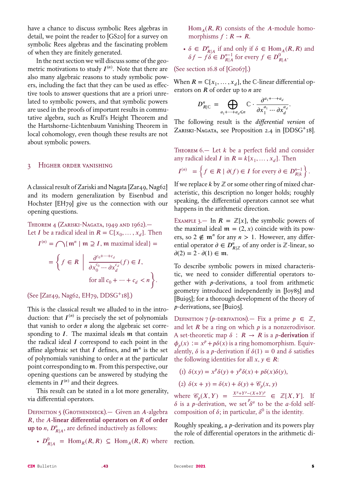have a chance to discuss symbolic Rees algebras in detail, we point the reader to [GS20] for a survey on symbolic Rees algebras and the fascinating problem of when they are finitely generated.

In the next section we will discuss some of the geometric motivations to study  $I^{(n)}$ . Note that there are also many algebraic reasons to study symbolic powers, including the fact that they can be used as effective tools to answer questions that are a priori unrelated to symbolic powers, and that symbolic powers are used in the proofs of important results in commutative algebra, such as Krull's Height Theorem and the Hartshorne-Lichtenbaum Vanishing Theorem in local cohomology, even though these results are not about symbolic powers.

## 3 Higher order vanishing

A classical result of Zariski and Nagata [Zar49, Nag62] and its modern generalization by Eisenbud and Hochster [EH79] give us the connection with our opening questions.

THEOREM 4 (ZARISKI-NAGATA, 1949 AND 1962). Let *I* be a radical ideal in  $R = \mathbb{C}[x_0, \ldots, x_d]$ . Then

$$
I^{(n)} = \bigcap \{ \mathfrak{m}^n \mid \mathfrak{m} \supseteq I, \mathfrak{m} \text{ maximal ideal} \} =
$$

$$
= \left\{ f \in R \mid \frac{\partial^{c_0 + \dots + c_d}}{\partial x_0^{c_0} \dots \partial x_d^{c_d}} (f) \in I, \text{ for all } c_0 + \dots + c_d < n \right\}.
$$

(See [Zar49, Nag62, EH79, DDSG<sup>+</sup>18].)

This is the classical result we alluded to in the introduction: that  $I^{(n)}$  is precisely the set of polynomials that vanish to order  $n$  along the algebraic set corresponding to  $I$ . The maximal ideals  $m$  that contain the radical ideal  $I$  correspond to each point in the affine algebraic set that  $I$  defines, and  $\mathfrak{m}^n$  is the set of polynomials vanishing to order  $n$  at the particular point corresponding to  $m$ . From this perspective, our opening questions can be answered by studying the elements in  $I^{(n)}$  and their degrees.

This result can be stated in a lot more generality, via differential operators.

DEFINITION 5 (GROTHENDIECK).— Given an  $A$ -algebra **R**, the A-linear differential operators on R of order **up to** *n*,  $D_{R|A}^n$ , are defined inductively as follows:

•  $D_{R|A}^0 = \text{Hom}_R(R, R) \subseteq \text{Hom}_A(R, R)$  where

 $Hom_{A}( R, R)$  consists of the A-module homomorphisms  $f: R \rightarrow R$ .

•  $\delta \in D_{R|A}^n$  if and only if  $\delta \in \text{Hom}_A(R, R)$  and  $\delta f - f \delta \in D_{R|A}^{n-1}$  for every  $f \in D_{R|A}^0$ .

(See section 16.8 of [Gro67].)

When  $R = \mathbb{C}[x_1,\ldots,x_d]$ , the C-linear differential operators on  $R$  of order up to  $n$  are

$$
D^n_{R|C} = \bigoplus_{a_1 + \dots + a_d \le n} \mathbb{C} \cdot \frac{\partial^{a_1 + \dots + a_d}}{\partial x_1^{a_1} \cdots \partial x_d^{a_d}}.
$$

The following result is the *differential version* of ZARISKI-NAGATA, see Proposition 2.4 in [DDSG<sup>+</sup>18].

THEOREM  $6$  – Let  $k$  be a perfect field and consider any radical ideal *I* in  $R = k[x_1, \ldots, x_d]$ . Then

$$
I^{(n)} = \left\{ f \in R \mid \partial(f) \in I \text{ for every } \partial \in D_{R|k}^{n-1} \right\}.
$$

If we replace  $k$  by  $\mathbb Z$  or some other ring of mixed characteristic, this description no longer holds; roughly speaking, the differential operators cannot see what happens in the arithmetic direction.

EXAMPLE 3.— In  $R = \mathbb{Z}[x]$ , the symbolic powers of the maximal ideal  $\mathfrak{m} = (2, x)$  coincide with its powers, so  $2 \notin \mathfrak{m}^n$  for any  $n > 1$ . However, any differential operator  $\partial \in D_{R|\mathbb{Z}}^n$  of any order is  $\mathbb{Z}$ -linear, so  $\partial(2) = 2 \cdot \partial(1) \in \mathfrak{m}.$ 

To describe symbolic powers in mixed characteristic, we need to consider differential operators together with  $p$ -derivations, a tool from arithmetic geometry introduced independently in [Joy85] and [Bui95]; for a thorough development of the theory of -derivations, see [Bui05].

DEFINITION 7 (*p*-DERIVATION).— Fix a prime  $p \in \mathbb{Z}$ , and let  $R$  be a ring on which  $p$  is a nonzerodivisor. A set-theoretic map  $\delta$  :  $R \rightarrow R$  is a *p*-derivation if  $\phi_n(x) := x^p + p\delta(x)$  is a ring homomorphism. Equivalently,  $\delta$  is a *p*-derivation if  $\delta(1) = 0$  and  $\delta$  satisfies the following identities for all  $x, y \in R$ :

$$
(I) \delta(xy) = x^p \delta(y) + y^p \delta(x) + p \delta(x) \delta(y),
$$

$$
(2) \delta(x + y) = \delta(x) + \delta(y) + \mathcal{C}_p(x, y)
$$

where  $\mathcal{C}_p(X,Y) = \frac{X^p + Y^p - (X+Y)^p}{p_{\alpha}} \in \mathbb{Z}[X,Y].$  If  $\delta$  is a p-derivation, we set  $\delta^a$  to be the a-fold selfcomposition of  $\delta$ ; in particular,  $\delta^0$  is the identity.

Roughly speaking, a  $p$ -derivation and its powers play the role of differential operators in the arithmetic direction.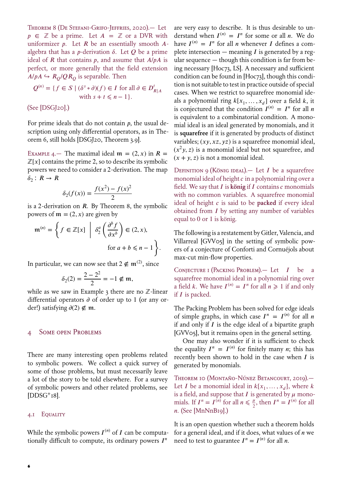Theorem 8 (De Stefani-Grifo-Jeffries, 2020).— Let  $p \in \mathbb{Z}$  be a prime. Let  $A = \mathbb{Z}$  or a DVR with uniformizer  $p$ . Let  $R$  be an essentially smooth  $A$ algebra that has a *p*-derivation  $\delta$ . Let  $Q$  be a prime ideal of  $R$  that contains  $p$ , and assume that  $A/pA$  is perfect, or more generally that the field extension  $A/pA \hookrightarrow R_O/QR_O$  is separable. Then

$$
Q^{(n)} = \{ f \in S \mid (\delta^s \circ \partial)(f) \in I \text{ for all } \partial \in D'_{R|A}
$$
  
with  $s + t \le n - 1 \}.$ 

(See [DSGJ20].)

For prime ideals that do not contain  $p$ , the usual description using only differential operators, as in Theorem 6, still holds [DSGJ20, Theorem 3.9].

EXAMPLE 4.— The maximal ideal  $m = (2, x)$  in  $R =$  $\mathbb{Z}[x]$  contains the prime 2, so to describe its symbolic powers we need to consider a 2-derivation. The map  $\delta_2$ :  $R \rightarrow R$ 

$$
\delta_2(f(x)) = \frac{f(x^2) - f(x)^2}{2}
$$

is a 2-derivation on  $R$ . By Theorem 8, the symbolic powers of  $m = (2, x)$  are given by

$$
\mathfrak{m}^{(n)} = \left\{ f \in \mathbb{Z}[x] \middle| \delta_2^a \left( \frac{\partial^b f}{\partial x^b} \right) \in (2, x), \right\}
$$
  
for  $a + b \le n - 1$ 

In particular, we can now see that  $2 \notin \mathfrak{m}^{(2)}$ , since

$$
\delta_2(2) = \frac{2 - 2^2}{2} = -1 \notin \mathfrak{m},
$$

while as we saw in Example 3 there are no ℤ-linear differential operators  $\partial$  of order up to 1 (or any order!) satisfying  $\partial(2) \notin \mathfrak{m}$ .

# SOME OPEN PROBLEMS

There are many interesting open problems related to symbolic powers. We collect a quick survey of some of those problems, but must necessarily leave a lot of the story to be told elsewhere. For a survey of symbolic powers and other related problems, see  $[DDSG+18]$ .

#### 4.1 EQUALITY

6

While the symbolic powers  $I^{(n)}$  of I can be computationally difficult to compute, its ordinary powers  $I<sup>n</sup>$ 

are very easy to describe. It is thus desirable to understand when  $I^{(n)} = I^n$  for some or all *n*. We do have  $I^{(n)} = I^n$  for all *n* whenever *I* defines a complete intersection — meaning  $I$  is generated by a regular sequence — though this condition is far from being necessary [Hoc73, LS]. A necessary and sufficient condition can be found in [Hoc73], though this condition is not suitable to test in practice outside of special cases. When we restrict to squarefree monomial ideals a polynomial ring  $k[x_1, \ldots, x_d]$  over a field k, it is conjectured that the condition  $I^{(n)} = I^n$  for all *n* is equivalent to a combinatorial condition. A monomial ideal is an ideal generated by monomials, and it is **squarefree** if it is generated by products of distinct variables;  $(xy, xz, yz)$  is a squarefree monomial ideal,  $(x<sup>2</sup>y, z)$  is a monomial ideal but not squarefree, and  $(x + y, z)$  is not a monomial ideal.

DEFINITION 9 (KÖNIG IDEAL).— Let  $I$  be a squarefree monomial ideal of height  $c$  in a polynomial ring over a field. We say that  $I$  is **könig** if  $I$  contains  $c$  monomials with no common variables. A squarefree monomial ideal of height c is said to be **packed** if every ideal obtained from  $I$  by setting any number of variables equal to 0 or 1 is könig.

The following is a restatement by Gitler, Valencia, and Villarreal [GVV05] in the setting of symbolic powers of a conjecture of Conforti and Cornuéjols about max-cut min-flow properties.

CONJECTURE I (PACKING PROBLEM). - Let  $I$  be a squarefree monomial ideal in a polynomial ring over a field k. We have  $I^{(n)} = I^n$  for all  $n \ge 1$  if and only if  $I$  is packed.

The Packing Problem has been solved for edge ideals of simple graphs, in which case  $I^n = I^{(n)}$  for all n if and only if  $I$  is the edge ideal of a bipartite graph [GVV05], but it remains open in the general setting.

One may also wonder if it is sufficient to check the equality  $I^n = I^{(n)}$  for finitely many *n*; this has recently been shown to hold in the case when  $I$  is generated by monomials.

Theorem 10 (Montaño-Núnez Betancourt, 2019). Let *I* be a monomial ideal in  $k[x_1, \ldots, x_d]$ , where *k* is a field, and suppose that  $I$  is generated by  $\mu$  monomials. If  $I^n = I^{(n)}$  for all  $n \leq \frac{\mu}{2}$ , then  $I^n = I^{(n)}$  for all  $n.$  (See [MnNnB19].)

It is an open question whether such a theorem holds for a general ideal, and if it does, what values of  $n$  we need to test to guarantee  $I^n = I^{(n)}$  for all *n*.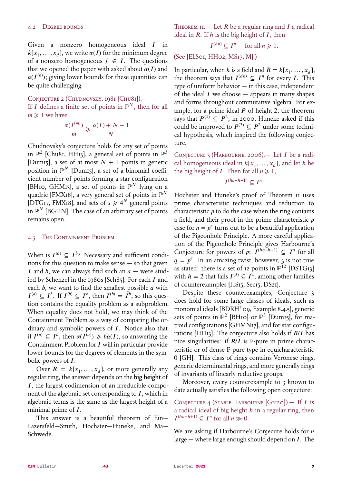Given a nonzero homogeneous ideal  $I$  in  $k[x_1, \ldots, x_d]$ , we write  $\alpha(I)$  for the minimum degree of a nonzero homogeneous  $f \in I$ . The questions that we opened the paper with asked about  $\alpha(I)$  and  $\alpha(I^{(n)})$ ; giving lower bounds for these quantities can be quite challenging.

CONJECTURE 2 (CHUDNOVSKY, 1981 [CHU81]). If I defines a finite set of points in  $\mathbb{P}^N$ , then for all  $m \geq 1$  we have

$$
\frac{\alpha(I^{(m)})}{m} \geqslant \frac{\alpha(I) + N - 1}{N}.
$$

Chudnovsky's conjecture holds for any set of points in  $\mathbb{P}^2$  [Chu81, HH13], a general set of points in  $\mathbb{P}^3$ [Dum<sub>15</sub>], a set of at most  $N + 1$  points in generic position in  $\mathbb{P}^N$  [Dum15], a set of a binomial coefficient number of points forming a star configuration [BH10, GHM13], a set of points in  $\mathbb{P}^N$  lying on a quadric [FMX18], a very general set of points in  $\mathbb{P}^N$ [DTG17, FMX18], and sets of  $s \ge 4^N$  general points in  $\mathbb{P}^N$  [BGHN]. The case of an arbitrary set of points remains open.

#### 4.3 The Containment Problem

When is  $I^{(a)} \subseteq I^b$ ? Necessary and sufficient conditions for this question to make sense  $-$  so that given I and b, we can always find such an  $a$  – were studied by Schenzel in the 1980s [Sch85]. For each  $I$  and each  $b$ , we want to find the smallest possible  $a$  with  $I^{(a)} \subseteq I^b$ . If  $I^{(b)} \subseteq I^b$ , then  $I^{(b)} = I^b$ , so this question contains the equality problem as a subproblem. When equality does not hold, we may think of the Containment Problem as a way of comparing the ordinary and symbolic powers of  $I$ . Notice also that if  $I^{(a)} \subseteq I^b$ , then  $\alpha(I^{(a)}) \geq \alpha(I)$ , so answering the Containment Problem for  $I$  will in particular provide lower bounds for the degrees of elements in the symbolic powers of  $I$ .

Over  $R = k[x_1, \ldots, x_d]$ , or more generally any regular ring, the answer depends on the **big height** of I, the largest codimension of an irreducible component of the algebraic set corresponding to  $I$ , which in algebraic terms is the same as the largest height of a minimal prime of *.* 

This answer is a beautiful theorem of Ein— Lazersfeld—Smith, Hochster—Huneke, and Ma— Schwede.

THEOREM II. - Let  $R$  be a regular ring and  $I$  a radical ideal in  $R$ . If  $h$  is the big height of  $I$ , then

$$
I^{(hn)} \subseteq I^n \quad \text{ for all } n \geq 1.
$$

(See [ELS01, HH02, MS17, M].)

In particular, when k is a field and  $R = k[x_1, \ldots, x_d],$ the theorem says that  $I^{(dn)} \subseteq I^n$  for every I. This type of uniform behavior — in this case, independent of the ideal  $I$  we choose  $-$  appears in many shapes and forms throughout commutative algebra. For example, for a prime ideal  $P$  of height 2, the theorem says that  $P^{(4)} \subseteq P^2$ ; in 2000, Huneke asked if this could be improved to  $P^{(3)} \subseteq P^2$  under some technical hypothesis, which inspired the following conjecture.

CONJECTURE 3 (HARBOURNE, 2006). Let I be a radical homogeneous ideal in  $k[x_1, \ldots, x_d]$ , and let h be the big height of *I*. Then for all  $n \geq 1$ ,

$$
I^{(hn-h+1)} \subseteq I^n.
$$

Hochster and Huneke's proof of Theorem 11 uses prime characteristic techniques and reduction to characteristic  $p$  to do the case when the ring contains a field, and their proof in the prime characteristic  $p$ case for  $n = p^e$  turns out to be a beautiful application of the Pigeonhole Principle. A more careful application of the Pigeonhole Principle gives Harbourne's Conjecture for powers of p:  $I^{(hq-h+1)} \subseteq I^q$  for all  $q = p^e$ . In an amazing twist, however, 3 is not true as stated: there is a set of 12 points in  $\mathbb{P}^{12}$  [DSTG13] with  $h = 2$  that fails  $I^{(3)} \subseteq I^2$ , among other families of counterexamples [HS15, Sec15, DS21].

Despite these counterexamples, Conjecture 3 does hold for some large classes of ideals, such as monomial ideals [BDRH<sup>+</sup>09, Example 8.4.5], generic sets of points in  $\mathbb{P}^2$  [BH10] or  $\mathbb{P}^3$  [Dum15], for matroid configurations [GHMN17], and for star configurations [HH13]. The conjecture also holds if  $R/I$  has nice singularities: if  $R/I$  is F-pure in prime characteristic or of dense F-pure type in equicharacteristic 0 [GH]. This class of rings contains Veronese rings, generic determinantal rings, and more generally rings of invariants of linearly reductive groups.

Moreover, every counterexample to 3 known to date actually satisfies the following open conjecture:

CONJECTURE 4 (STABLE HARBOURNE [GRI20]). If  $I$  is a radical ideal of big height  $h$  in a regular ring, then  $I^{(hn-h+1)} \subset I^n$  for all  $n \gg 0$ .

We are asking if Harbourne's Conjecure holds for  $n$ large — where large enough should depend on  $I$ . The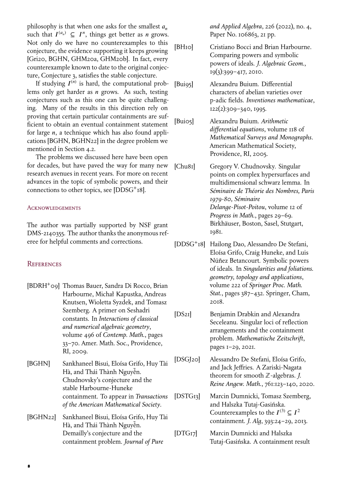philosophy is that when one asks for the smallest  $a_n$ such that  $I^{(a_n)} \subseteq I^n$ , things get better as *n* grows. Not only do we have no counterexamples to this conjecture, the evidence supporting it keeps growing [Gri20, BGHN, GHM20a, GHM20b]. In fact, every counterexample known to date to the original conjecture, Conjecture 3, satisfies the stable conjecture.

If studying  $I^{(n)}$  is hard, the computational problems only get harder as  $n$  grows. As such, testing conjectures such as this one can be quite challenging. Many of the results in this direction rely on proving that certain particular containments are sufficient to obtain an eventual containment statement for large  $n$ , a technique which has also found applications [BGHN, BGHN22] in the degree problem we mentioned in Section 4.2.

The problems we discussed here have been open for decades, but have paved the way for many new research avenues in recent years. For more on recent advances in the topic of symbolic powers, and their connections to other topics, see [DDSG<sup>+</sup>18].

#### **ACKNOWLEDGEMENTS**

The author was partially supported by NSF grant DMS-2140355. The author thanks the anonymous referee for helpful comments and corrections.

## **REFERENCES**

- [BDRH<sup>+</sup>09] Thomas Bauer, Sandra Di Rocco, Brian Harbourne, Michał Kapustka, Andreas Knutsen, Wioletta Syzdek, and Tomasz Szemberg. A primer on Seshadri constants. In *Interactions of classical and numerical algebraic geometry*, volume 496 of *Contemp. Math.*, pages 33–70. Amer. Math. Soc., Providence, RI, 2009.
- [BGHN] Sankhaneel Bisui, Eloísa Grifo, Huy Tài Hà, and Thái Thành Nguyễn. Chudnovsky's conjecture and the stable Harbourne-Huneke containment. To appear in *Transactions of the American Mathematical Society*.
- [BGHN22] Sankhaneel Bisui, Eloísa Grifo, Huy Tài Hà, and Thái Thành Nguyễn. Demailly's conjecture and the containment problem. *Journal of Pure*

*and Applied Algebra*, 226 (2022), no. 4, Paper No. 106863, 21 pp.

- [BH<sub>10</sub>] Cristiano Bocci and Brian Harbourne. Comparing powers and symbolic powers of ideals. *J. Algebraic Geom.*, 19(3):399–417, 2010.
- [Bui95] Alexandru Buium. Differential characters of abelian varieties over p-adic fields. *Inventiones mathematicae*, 122(2):309–340, 1995.
- [Bui05] Alexandru Buium. *Arithmetic differential equations*, volume 118 of *Mathematical Surveys and Monographs*. American Mathematical Society, Providence, RI, 2005.

[Chu81] Gregory V. Chudnovsky. Singular points on complex hypersurfaces and multidimensional schwarz lemma. In *Séminaire de Théorie des Nombres, Paris 1979-80, Séminaire Delange-Pisot-Poitou*, volume 12 of *Progress in Math.*, pages 29–69. Birkhäuser, Boston, Sasel, Stutgart, 1981.

- [DDSG<sup>+</sup>18] Hailong Dao, Alessandro De Stefani, Eloísa Grifo, Craig Huneke, and Luis Núñez Betancourt. Symbolic powers of ideals. In *Singularities and foliations. geometry, topology and applications*, volume 222 of *Springer Proc. Math. Stat.*, pages 387–432. Springer, Cham, 2018.
- [DS21] Benjamin Drabkin and Alexandra Seceleanu. Singular loci of reflection arrangements and the containment problem. *Mathematische Zeitschrift*, pages 1–29, 2021.

[DSGJ20] Alessandro De Stefani, Eloísa Grifo, and Jack Jeffries. A Zariski-Nagata theorem for smooth ℤ-algebras. *J. Reine Angew. Math.*, 761:123–140, 2020.

[DSTG13] Marcin Dumnicki, Tomasz Szemberg, and Halszka Tutaj-Gasińska. Counterexamples to the  $I^{(3)} \subseteq I^2$ containment. *J. Alg*, 393:24–29, 2013.

[DTG17] Marcin Dumnicki and Halszka Tutaj-Gasińska. A containment result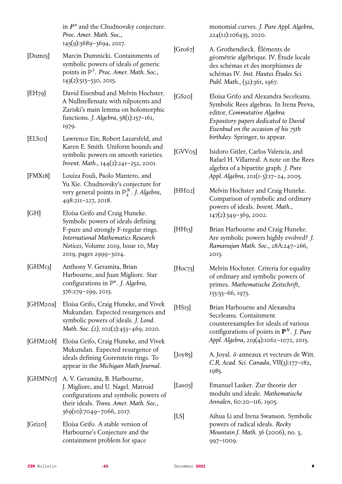in  $P<sup>n</sup>$  and the Chudnovsky conjecture. *Proc. Amer. Math. Soc.*, 145(9):3689–3694, 2017.

- [Dum15] Marcin Dumnicki. Containments of symbolic powers of ideals of generic points in ℙ<sup>3</sup> . *Proc. Amer. Math. Soc.*, 143(2):513–530, 2015.
- [EH79] David Eisenbud and Melvin Hochster. A Nullstellensatz with nilpotents and Zariski's main lemma on holomorphic functions. *J. Algebra*, 58(1):157–161, 1979.
- [ELS01] Lawrence Ein, Robert Lazarsfeld, and Karen E. Smith. Uniform bounds and symbolic powers on smooth varieties. *Invent. Math.*, 144(2):241–252, 2001.
- [FMX18] Louiza Fouli, Paolo Mantero, and Yu Xie. Chudnovsky's conjecture for very general points in ℙ . *J. Algebra*, 498:211–227, 2018.
- [GH] Eloísa Grifo and Craig Huneke. Symbolic powers of ideals defining F-pure and strongly F-regular rings. *International Mathematics Research Notices*, Volume 2019, Issue 10, May 2019, pages 2999–3014.
- [GHM13] Anthony V. Geramita, Brian Harbourne, and Juan Migliore. Star configurations in ℙ . *J. Algebra*, 376:279–299, 2013.
- [GHM20a] Eloísa Grifo, Craig Huneke, and Vivek Mukundan. Expected resurgences and symbolic powers of ideals. *J. Lond. Math. Soc. (2)*, 102(2):453–469, 2020.
- [GHM20b] Eloísa Grifo, Craig Huneke, and Vivek Mukundan. Expected resurgence of ideals defining Gorenstein rings. To appear in the *Michigan Math Journal*.
- [GHMN17] A. V. Geramita, B. Harbourne, J. Migliore, and U. Nagel. Matroid configurations and symbolic powers of their ideals. *Trans. Amer. Math. Soc.*, 369(10):7049–7066, 2017.
- [Gri20] Eloísa Grifo. A stable version of Harbourne's Conjecture and the containment problem for space

monomial curves. *J. Pure Appl. Algebra*, 224(12):106435, 2020.

[Gro67] A. Grothendieck. Éléments de géométrie algébrique. IV. Étude locale des schémas et des morphismes de schémas IV. *Inst. Hautes Études Sci.* Publ. Math., (32):361, 1967.

[GS20] Eloísa Grifo and Alexandra Seceleanu. Symbolic Rees algebras. In Irena Peeva, editor, *Commutative Algebra: Expository papers dedicated to David Eisenbud on the occasion of his 75th birthday*. Springer, to appear.

[GVV05] Isidoro Gitler, Carlos Valencia, and Rafael H. Villarreal. A note on the Rees algebra of a bipartite graph. *J. Pure Appl. Algebra*, 201(1-3):17–24, 2005.

- [HH02] Melvin Hochster and Craig Huneke. Comparison of symbolic and ordinary powers of ideals. *Invent. Math.*, 147(2):349–369, 2002.
- [HH<sub>13</sub>] Brian Harbourne and Craig Huneke. Are symbolic powers highly evolved? *J. Ramanujan Math. Soc.*, 28A:247–266, 2013.
- [Hoc73] Melvin Hochster. Criteria for equality of ordinary and symbolic powers of primes. *Mathematische Zeitschrift*, 133:53–66, 1973.
- [HS<sub>15</sub>] Brian Harbourne and Alexandra Seceleanu. Containment counterexamples for ideals of various configurations of points in  $\mathbf{P}^{N}$ . *J. Pure Appl. Algebra*, 219(4):1062–1072, 2015.
- [Joy85] A. Joyal.  $\delta$ -anneaux et vecteurs de Witt. *C.R. Acad. Sci. Canada*, VII(3):177–182, 1985.

[Laso<sub>5</sub>] Emanuel Lasker. Zur theorie der moduln und ideale. *Mathematische Annalen*, 60:20–116, 1905.

[LS] Aihua Li and Irena Swanson. Symbolic powers of radical ideals. *Rocky Mountain J. Math.* 36 (2006), no. 3, 997–1009.